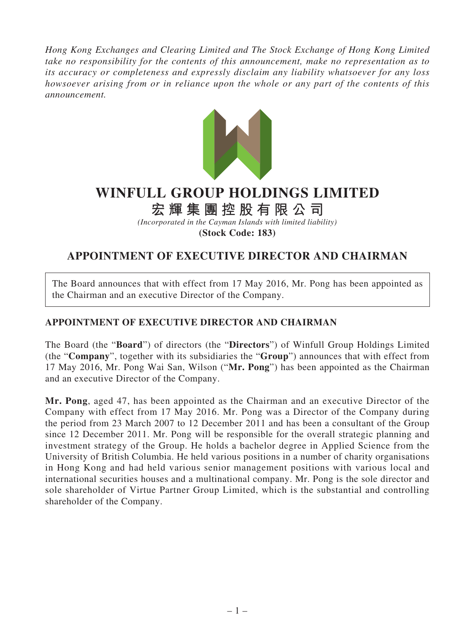*Hong Kong Exchanges and Clearing Limited and The Stock Exchange of Hong Kong Limited take no responsibility for the contents of this announcement, make no representation as to its accuracy or completeness and expressly disclaim any liability whatsoever for any loss howsoever arising from or in reliance upon the whole or any part of the contents of this announcement.*



## **WINFULL GROUP HOLDINGS LIMITED**

## **宏輝集團控股有限公司**

*(Incorporated in the Cayman Islands with limited liability)* **(Stock Code: 183)**

## **APPOINTMENT OF EXECUTIVE DIRECTOR AND CHAIRMAN**

The Board announces that with effect from 17 May 2016, Mr. Pong has been appointed as the Chairman and an executive Director of the Company.

## **APPOINTMENT OF EXECUTIVE DIRECTOR AND CHAIRMAN**

The Board (the "**Board**") of directors (the "**Directors**") of Winfull Group Holdings Limited (the "**Company**", together with its subsidiaries the "**Group**") announces that with effect from 17 May 2016, Mr. Pong Wai San, Wilson ("**Mr. Pong**") has been appointed as the Chairman and an executive Director of the Company.

**Mr. Pong**, aged 47, has been appointed as the Chairman and an executive Director of the Company with effect from 17 May 2016. Mr. Pong was a Director of the Company during the period from 23 March 2007 to 12 December 2011 and has been a consultant of the Group since 12 December 2011. Mr. Pong will be responsible for the overall strategic planning and investment strategy of the Group. He holds a bachelor degree in Applied Science from the University of British Columbia. He held various positions in a number of charity organisations in Hong Kong and had held various senior management positions with various local and international securities houses and a multinational company. Mr. Pong is the sole director and sole shareholder of Virtue Partner Group Limited, which is the substantial and controlling shareholder of the Company.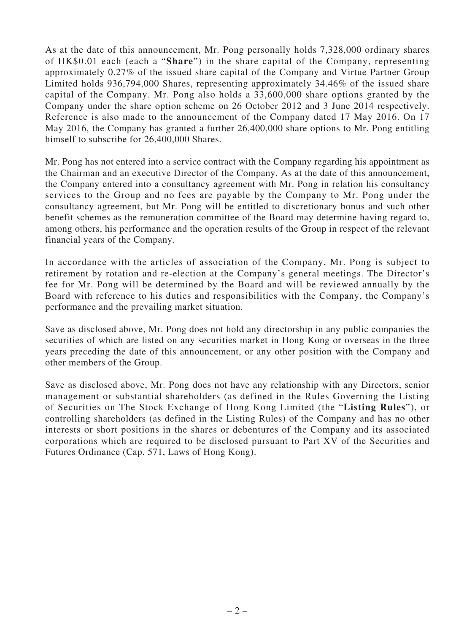As at the date of this announcement, Mr. Pong personally holds 7,328,000 ordinary shares of HK\$0.01 each (each a "**Share**") in the share capital of the Company, representing approximately 0.27% of the issued share capital of the Company and Virtue Partner Group Limited holds 936,794,000 Shares, representing approximately 34.46% of the issued share capital of the Company. Mr. Pong also holds a 33,600,000 share options granted by the Company under the share option scheme on 26 October 2012 and 3 June 2014 respectively. Reference is also made to the announcement of the Company dated 17 May 2016. On 17 May 2016, the Company has granted a further 26,400,000 share options to Mr. Pong entitling himself to subscribe for 26,400,000 Shares.

Mr. Pong has not entered into a service contract with the Company regarding his appointment as the Chairman and an executive Director of the Company. As at the date of this announcement, the Company entered into a consultancy agreement with Mr. Pong in relation his consultancy services to the Group and no fees are payable by the Company to Mr. Pong under the consultancy agreement, but Mr. Pong will be entitled to discretionary bonus and such other benefit schemes as the remuneration committee of the Board may determine having regard to, among others, his performance and the operation results of the Group in respect of the relevant financial years of the Company.

In accordance with the articles of association of the Company, Mr. Pong is subject to retirement by rotation and re-election at the Company's general meetings. The Director's fee for Mr. Pong will be determined by the Board and will be reviewed annually by the Board with reference to his duties and responsibilities with the Company, the Company's performance and the prevailing market situation.

Save as disclosed above, Mr. Pong does not hold any directorship in any public companies the securities of which are listed on any securities market in Hong Kong or overseas in the three years preceding the date of this announcement, or any other position with the Company and other members of the Group.

Save as disclosed above, Mr. Pong does not have any relationship with any Directors, senior management or substantial shareholders (as defined in the Rules Governing the Listing of Securities on The Stock Exchange of Hong Kong Limited (the "**Listing Rules**"), or controlling shareholders (as defined in the Listing Rules) of the Company and has no other interests or short positions in the shares or debentures of the Company and its associated corporations which are required to be disclosed pursuant to Part XV of the Securities and Futures Ordinance (Cap. 571, Laws of Hong Kong).